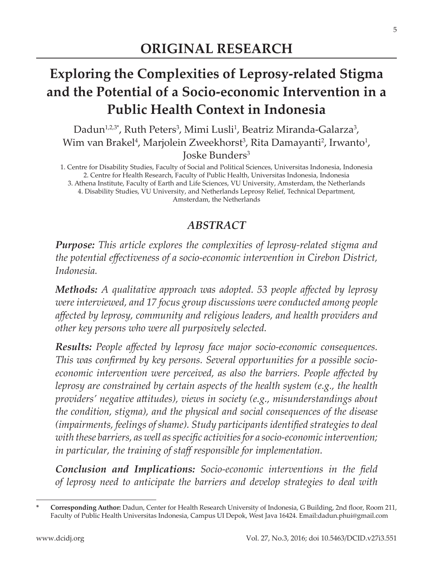5

# **Exploring the Complexities of Leprosy-related Stigma and the Potential of a Socio-economic Intervention in a Public Health Context in Indonesia**

Dadun $^{1,2,3^*}$ , Ruth Peters $^3$ , Mimi Lusli $^1$ , Beatriz Miranda-Galarza $^3$ , Wim van Brakel<sup>4</sup>, Marjolein Zweekhorst<sup>3</sup>, Rita Damayanti<sup>2</sup>, Irwanto<sup>1</sup>, Joske Bunders3

1. Centre for Disability Studies, Faculty of Social and Political Sciences, Universitas Indonesia, Indonesia 2. Centre for Health Research, Faculty of Public Health, Universitas Indonesia, Indonesia 3. Athena Institute, Faculty of Earth and Life Sciences, VU University, Amsterdam, the Netherlands 4. Disability Studies, VU University, and Netherlands Leprosy Relief, Technical Department, Amsterdam, the Netherlands

### *ABSTRACT*

*Purpose: This article explores the complexities of leprosy-related stigma and the potential effectiveness of a socio-economic intervention in Cirebon District, Indonesia.*

*Methods: A qualitative approach was adopted. 53 people affected by leprosy were interviewed, and 17 focus group discussions were conducted among people affected by leprosy, community and religious leaders, and health providers and other key persons who were all purposively selected.*

*Results: People affected by leprosy face major socio-economic consequences. This was confirmed by key persons. Several opportunities for a possible socioeconomic intervention were perceived, as also the barriers. People affected by leprosy are constrained by certain aspects of the health system (e.g., the health providers' negative attitudes), views in society (e.g., misunderstandings about the condition, stigma), and the physical and social consequences of the disease (impairments, feelings of shame). Study participants identified strategies to deal with these barriers, as well as specific activities for a socio-economic intervention; in particular, the training of staff responsible for implementation.*

*Conclusion and Implications: Socio-economic interventions in the field of leprosy need to anticipate the barriers and develop strategies to deal with* 

**<sup>\*</sup> Corresponding Author:** Dadun, Center for Health Research University of Indonesia, G Building, 2nd floor, Room 211, Faculty of Public Health Universitas Indonesia, Campus UI Depok, West Java 16424. Email:dadun.phui@gmail.com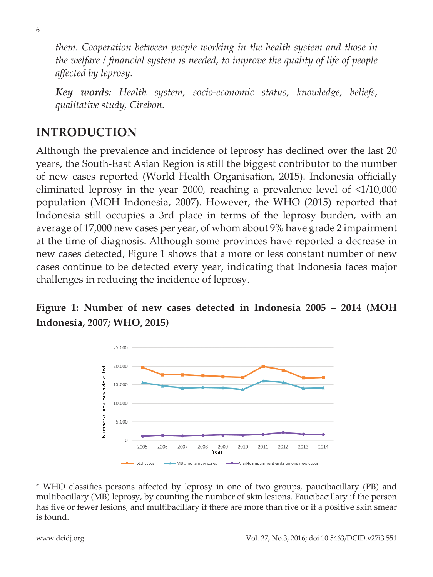*them. Cooperation between people working in the health system and those in the welfare / financial system is needed, to improve the quality of life of people affected by leprosy.*

*Key words: Health system, socio-economic status, knowledge, beliefs, qualitative study, Cirebon.*

### **INTRODUCTION**

Although the prevalence and incidence of leprosy has declined over the last 20 years, the South-East Asian Region is still the biggest contributor to the number of new cases reported (World Health Organisation, 2015). Indonesia officially eliminated leprosy in the year 2000, reaching a prevalence level of <1/10,000 population (MOH Indonesia, 2007). However, the WHO (2015) reported that Indonesia still occupies a 3rd place in terms of the leprosy burden, with an average of 17,000 new cases per year, of whom about 9% have grade 2 impairment at the time of diagnosis. Although some provinces have reported a decrease in new cases detected, Figure 1 shows that a more or less constant number of new cases continue to be detected every year, indicating that Indonesia faces major challenges in reducing the incidence of leprosy.

### **Figure 1: Number of new cases detected in Indonesia 2005 – 2014 (MOH Indonesia, 2007; WHO, 2015)**



\* WHO classifies persons affected by leprosy in one of two groups, paucibacillary (PB) and multibacillary (MB) leprosy, by counting the number of skin lesions. Paucibacillary if the person has five or fewer lesions, and multibacillary if there are more than five or if a positive skin smear is found.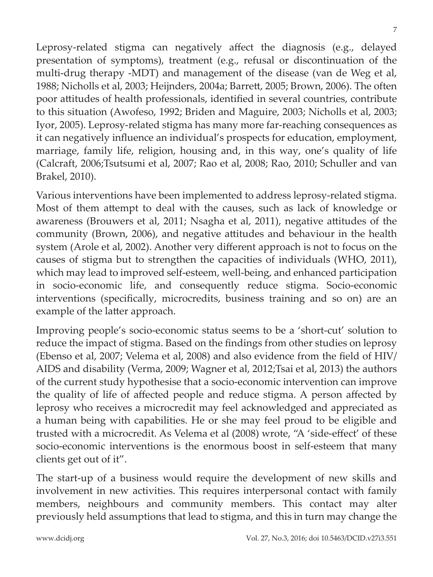Vol. 27, No.3, 2016; doi 10.5463/DCID.v27i3.551

Leprosy-related stigma can negatively affect the diagnosis (e.g., delayed presentation of symptoms), treatment (e.g., refusal or discontinuation of the multi-drug therapy -MDT) and management of the disease (van de Weg et al, 1988; Nicholls et al, 2003; Heijnders, 2004a; Barrett, 2005; Brown, 2006). The often poor attitudes of health professionals, identified in several countries, contribute to this situation (Awofeso, 1992; Briden and Maguire, 2003; Nicholls et al, 2003; Iyor, 2005). Leprosy-related stigma has many more far-reaching consequences as it can negatively influence an individual's prospects for education, employment, marriage, family life, religion, housing and, in this way, one's quality of life (Calcraft, 2006;Tsutsumi et al, 2007; Rao et al, 2008; Rao, 2010; Schuller and van Brakel, 2010).

Various interventions have been implemented to address leprosy-related stigma. Most of them attempt to deal with the causes, such as lack of knowledge or awareness (Brouwers et al, 2011; Nsagha et al, 2011), negative attitudes of the community (Brown, 2006), and negative attitudes and behaviour in the health system (Arole et al, 2002). Another very different approach is not to focus on the causes of stigma but to strengthen the capacities of individuals (WHO, 2011), which may lead to improved self-esteem, well-being, and enhanced participation in socio-economic life, and consequently reduce stigma. Socio-economic interventions (specifically, microcredits, business training and so on) are an example of the latter approach.

Improving people's socio-economic status seems to be a 'short-cut' solution to reduce the impact of stigma. Based on the findings from other studies on leprosy (Ebenso et al, 2007; Velema et al, 2008) and also evidence from the field of HIV/ AIDS and disability (Verma, 2009; Wagner et al, 2012;Tsai et al, 2013) the authors of the current study hypothesise that a socio-economic intervention can improve the quality of life of affected people and reduce stigma. A person affected by leprosy who receives a microcredit may feel acknowledged and appreciated as a human being with capabilities. He or she may feel proud to be eligible and trusted with a microcredit. As Velema et al (2008) wrote, "A 'side-effect' of these socio-economic interventions is the enormous boost in self-esteem that many clients get out of it".

The start-up of a business would require the development of new skills and involvement in new activities. This requires interpersonal contact with family members, neighbours and community members. This contact may alter previously held assumptions that lead to stigma, and this in turn may change the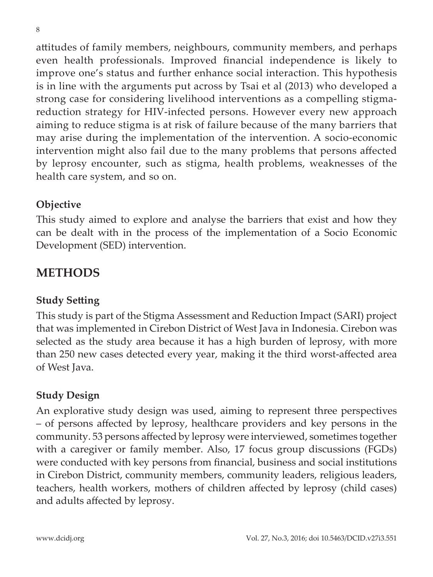attitudes of family members, neighbours, community members, and perhaps even health professionals. Improved financial independence is likely to improve one's status and further enhance social interaction. This hypothesis is in line with the arguments put across by Tsai et al (2013) who developed a strong case for considering livelihood interventions as a compelling stigmareduction strategy for HIV-infected persons. However every new approach aiming to reduce stigma is at risk of failure because of the many barriers that may arise during the implementation of the intervention. A socio-economic intervention might also fail due to the many problems that persons affected by leprosy encounter, such as stigma, health problems, weaknesses of the health care system, and so on.

#### **Objective**

This study aimed to explore and analyse the barriers that exist and how they can be dealt with in the process of the implementation of a Socio Economic Development (SED) intervention.

### **METHODS**

#### **Study Setting**

This study is part of the Stigma Assessment and Reduction Impact (SARI) project that was implemented in Cirebon District of West Java in Indonesia. Cirebon was selected as the study area because it has a high burden of leprosy, with more than 250 new cases detected every year, making it the third worst-affected area of West Java.

#### **Study Design**

An explorative study design was used, aiming to represent three perspectives – of persons affected by leprosy, healthcare providers and key persons in the community. 53 persons affected by leprosy were interviewed, sometimes together with a caregiver or family member. Also, 17 focus group discussions (FGDs) were conducted with key persons from financial, business and social institutions in Cirebon District, community members, community leaders, religious leaders, teachers, health workers, mothers of children affected by leprosy (child cases) and adults affected by leprosy.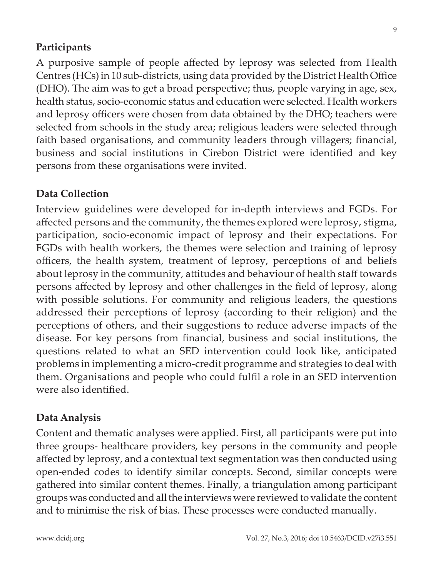#### **Participants**

A purposive sample of people affected by leprosy was selected from Health Centres (HCs) in 10 sub-districts, using data provided by the District Health Office (DHO). The aim was to get a broad perspective; thus, people varying in age, sex, health status, socio-economic status and education were selected. Health workers and leprosy officers were chosen from data obtained by the DHO; teachers were selected from schools in the study area; religious leaders were selected through faith based organisations, and community leaders through villagers; financial, business and social institutions in Cirebon District were identified and key persons from these organisations were invited.

#### **Data Collection**

Interview guidelines were developed for in-depth interviews and FGDs. For affected persons and the community, the themes explored were leprosy, stigma, participation, socio-economic impact of leprosy and their expectations. For FGDs with health workers, the themes were selection and training of leprosy officers, the health system, treatment of leprosy, perceptions of and beliefs about leprosy in the community, attitudes and behaviour of health staff towards persons affected by leprosy and other challenges in the field of leprosy, along with possible solutions. For community and religious leaders, the questions addressed their perceptions of leprosy (according to their religion) and the perceptions of others, and their suggestions to reduce adverse impacts of the disease. For key persons from financial, business and social institutions, the questions related to what an SED intervention could look like, anticipated problems in implementing a micro-credit programme and strategies to deal with them. Organisations and people who could fulfil a role in an SED intervention were also identified.

#### **Data Analysis**

Content and thematic analyses were applied. First, all participants were put into three groups- healthcare providers, key persons in the community and people affected by leprosy, and a contextual text segmentation was then conducted using open-ended codes to identify similar concepts. Second, similar concepts were gathered into similar content themes. Finally, a triangulation among participant groups was conducted and all the interviews were reviewed to validate the content and to minimise the risk of bias. These processes were conducted manually.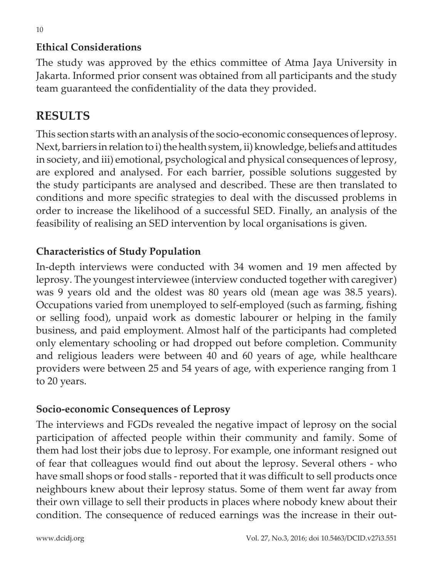### **Ethical Considerations**

The study was approved by the ethics committee of Atma Jaya University in Jakarta. Informed prior consent was obtained from all participants and the study team guaranteed the confidentiality of the data they provided.

## **RESULTS**

This section starts with an analysis of the socio-economic consequences of leprosy. Next, barriers in relation to i) the health system, ii) knowledge, beliefs and attitudes in society, and iii) emotional, psychological and physical consequences of leprosy, are explored and analysed. For each barrier, possible solutions suggested by the study participants are analysed and described. These are then translated to conditions and more specific strategies to deal with the discussed problems in order to increase the likelihood of a successful SED. Finally, an analysis of the feasibility of realising an SED intervention by local organisations is given.

### **Characteristics of Study Population**

In-depth interviews were conducted with 34 women and 19 men affected by leprosy. The youngest interviewee (interview conducted together with caregiver) was 9 years old and the oldest was 80 years old (mean age was 38.5 years). Occupations varied from unemployed to self-employed (such as farming, fishing or selling food), unpaid work as domestic labourer or helping in the family business, and paid employment. Almost half of the participants had completed only elementary schooling or had dropped out before completion. Community and religious leaders were between 40 and 60 years of age, while healthcare providers were between 25 and 54 years of age, with experience ranging from 1 to 20 years.

### **Socio-economic Consequences of Leprosy**

The interviews and FGDs revealed the negative impact of leprosy on the social participation of affected people within their community and family. Some of them had lost their jobs due to leprosy. For example, one informant resigned out of fear that colleagues would find out about the leprosy. Several others - who have small shops or food stalls - reported that it was difficult to sell products once neighbours knew about their leprosy status. Some of them went far away from their own village to sell their products in places where nobody knew about their condition. The consequence of reduced earnings was the increase in their out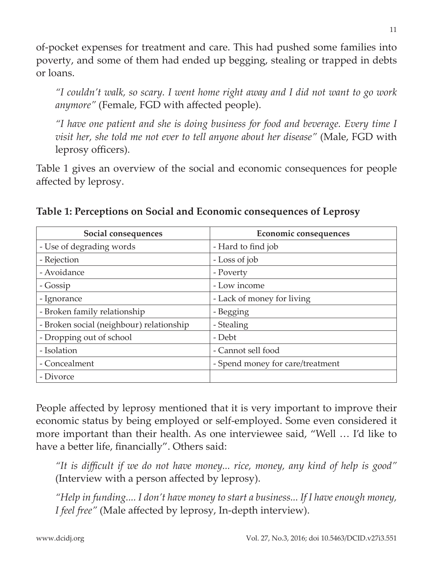of-pocket expenses for treatment and care. This had pushed some families into poverty, and some of them had ended up begging, stealing or trapped in debts or loans.

*"I couldn't walk, so scary. I went home right away and I did not want to go work anymore"* (Female, FGD with affected people).

*"I have one patient and she is doing business for food and beverage. Every time I visit her, she told me not ever to tell anyone about her disease"* (Male, FGD with leprosy officers).

Table 1 gives an overview of the social and economic consequences for people affected by leprosy.

| Social consequences                      | Economic consequences            |
|------------------------------------------|----------------------------------|
| - Use of degrading words                 | - Hard to find job               |
| - Rejection                              | - Loss of job                    |
| - Avoidance                              | - Poverty                        |
| - Gossip                                 | - Low income                     |
| - Ignorance                              | - Lack of money for living       |
| - Broken family relationship             | - Begging                        |
| - Broken social (neighbour) relationship | - Stealing                       |
| - Dropping out of school                 | - Debt                           |
| - Isolation                              | - Cannot sell food               |
| - Concealment                            | - Spend money for care/treatment |
| - Divorce                                |                                  |

**Table 1: Perceptions on Social and Economic consequences of Leprosy**

People affected by leprosy mentioned that it is very important to improve their economic status by being employed or self-employed. Some even considered it more important than their health. As one interviewee said, "Well … I'd like to have a better life, financially". Others said:

*"It is difficult if we do not have money... rice, money, any kind of help is good"*  (Interview with a person affected by leprosy).

*"Help in funding.... I don't have money to start a business... If I have enough money, I feel free"* (Male affected by leprosy, In-depth interview).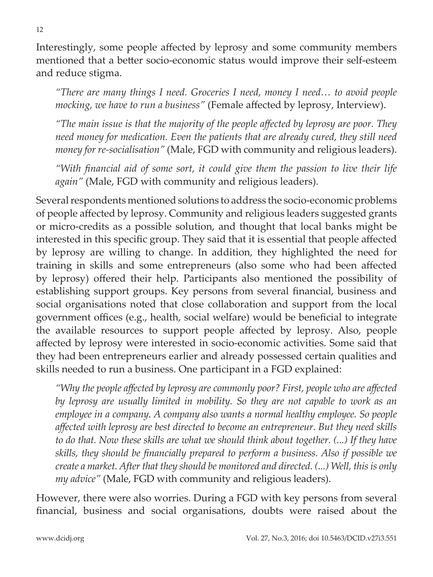Interestingly, some people affected by leprosy and some community members mentioned that a better socio-economic status would improve their self-esteem and reduce stigma.

*"There are many things I need. Groceries I need, money I need… to avoid people mocking, we have to run a business"* (Female affected by leprosy, Interview).

*"The main issue is that the majority of the people affected by leprosy are poor. They need money for medication. Even the patients that are already cured, they still need money for re-socialisation"* (Male, FGD with community and religious leaders).

*"With financial aid of some sort, it could give them the passion to live their life again"* (Male, FGD with community and religious leaders).

Several respondents mentioned solutions to address the socio-economic problems of people affected by leprosy. Community and religious leaders suggested grants or micro-credits as a possible solution, and thought that local banks might be interested in this specific group. They said that it is essential that people affected by leprosy are willing to change. In addition, they highlighted the need for training in skills and some entrepreneurs (also some who had been affected by leprosy) offered their help. Participants also mentioned the possibility of establishing support groups. Key persons from several financial, business and social organisations noted that close collaboration and support from the local government offices (e.g., health, social welfare) would be beneficial to integrate the available resources to support people affected by leprosy. Also, people affected by leprosy were interested in socio-economic activities. Some said that they had been entrepreneurs earlier and already possessed certain qualities and skills needed to run a business. One participant in a FGD explained:

*"Why the people affected by leprosy are commonly poor? First, people who are affected by leprosy are usually limited in mobility. So they are not capable to work as an employee in a company. A company also wants a normal healthy employee. So people affected with leprosy are best directed to become an entrepreneur. But they need skills to do that. Now these skills are what we should think about together. (...) If they have skills, they should be financially prepared to perform a business. Also if possible we create a market. After that they should be monitored and directed. (...) Well, this is only my advice"* (Male, FGD with community and religious leaders).

However, there were also worries. During a FGD with key persons from several financial, business and social organisations, doubts were raised about the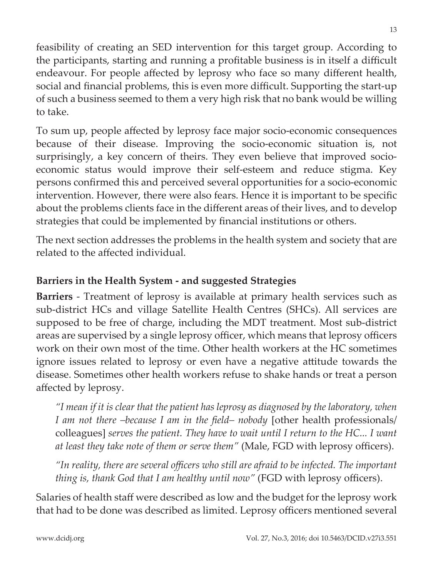feasibility of creating an SED intervention for this target group. According to the participants, starting and running a profitable business is in itself a difficult endeavour. For people affected by leprosy who face so many different health, social and financial problems, this is even more difficult. Supporting the start-up of such a business seemed to them a very high risk that no bank would be willing to take.

To sum up, people affected by leprosy face major socio-economic consequences because of their disease. Improving the socio-economic situation is, not surprisingly, a key concern of theirs. They even believe that improved socioeconomic status would improve their self-esteem and reduce stigma. Key persons confirmed this and perceived several opportunities for a socio-economic intervention. However, there were also fears. Hence it is important to be specific about the problems clients face in the different areas of their lives, and to develop strategies that could be implemented by financial institutions or others.

The next section addresses the problems in the health system and society that are related to the affected individual.

### **Barriers in the Health System - and suggested Strategies**

**Barriers** - Treatment of leprosy is available at primary health services such as sub-district HCs and village Satellite Health Centres (SHCs). All services are supposed to be free of charge, including the MDT treatment. Most sub-district areas are supervised by a single leprosy officer, which means that leprosy officers work on their own most of the time. Other health workers at the HC sometimes ignore issues related to leprosy or even have a negative attitude towards the disease. Sometimes other health workers refuse to shake hands or treat a person affected by leprosy.

*"I mean if it is clear that the patient has leprosy as diagnosed by the laboratory, when I am not there –because I am in the field– nobody* [other health professionals/ colleagues] *serves the patient. They have to wait until I return to the HC... I want at least they take note of them or serve them"* (Male, FGD with leprosy officers).

*"In reality, there are several officers who still are afraid to be infected. The important thing is, thank God that I am healthy until now"* (FGD with leprosy officers).

Salaries of health staff were described as low and the budget for the leprosy work that had to be done was described as limited. Leprosy officers mentioned several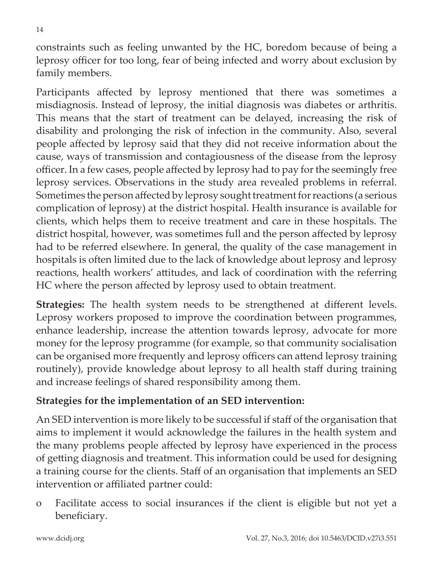constraints such as feeling unwanted by the HC, boredom because of being a leprosy officer for too long, fear of being infected and worry about exclusion by family members.

Participants affected by leprosy mentioned that there was sometimes a misdiagnosis. Instead of leprosy, the initial diagnosis was diabetes or arthritis. This means that the start of treatment can be delayed, increasing the risk of disability and prolonging the risk of infection in the community. Also, several people affected by leprosy said that they did not receive information about the cause, ways of transmission and contagiousness of the disease from the leprosy officer. In a few cases, people affected by leprosy had to pay for the seemingly free leprosy services. Observations in the study area revealed problems in referral. Sometimes the person affected by leprosy sought treatment for reactions (a serious complication of leprosy) at the district hospital. Health insurance is available for clients, which helps them to receive treatment and care in these hospitals. The district hospital, however, was sometimes full and the person affected by leprosy had to be referred elsewhere. In general, the quality of the case management in hospitals is often limited due to the lack of knowledge about leprosy and leprosy reactions, health workers' attitudes, and lack of coordination with the referring HC where the person affected by leprosy used to obtain treatment.

**Strategies:** The health system needs to be strengthened at different levels. Leprosy workers proposed to improve the coordination between programmes, enhance leadership, increase the attention towards leprosy, advocate for more money for the leprosy programme (for example, so that community socialisation can be organised more frequently and leprosy officers can attend leprosy training routinely), provide knowledge about leprosy to all health staff during training and increase feelings of shared responsibility among them.

#### **Strategies for the implementation of an SED intervention:**

An SED intervention is more likely to be successful if staff of the organisation that aims to implement it would acknowledge the failures in the health system and the many problems people affected by leprosy have experienced in the process of getting diagnosis and treatment. This information could be used for designing a training course for the clients. Staff of an organisation that implements an SED intervention or affiliated partner could:

o Facilitate access to social insurances if the client is eligible but not yet a beneficiary.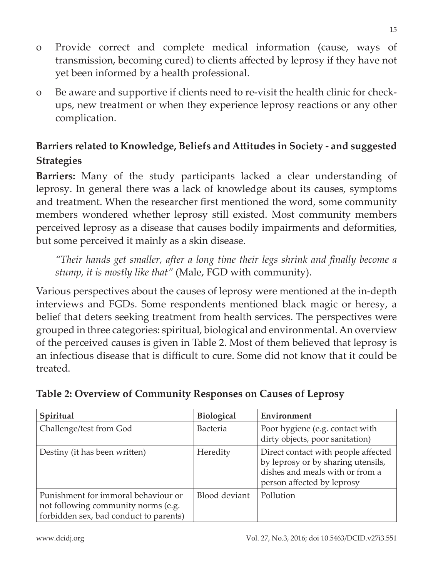- o Provide correct and complete medical information (cause, ways of transmission, becoming cured) to clients affected by leprosy if they have not yet been informed by a health professional.
- o Be aware and supportive if clients need to re-visit the health clinic for checkups, new treatment or when they experience leprosy reactions or any other complication.

### **Barriers related to Knowledge, Beliefs and Attitudes in Society - and suggested Strategies**

**Barriers:** Many of the study participants lacked a clear understanding of leprosy. In general there was a lack of knowledge about its causes, symptoms and treatment. When the researcher first mentioned the word, some community members wondered whether leprosy still existed. Most community members perceived leprosy as a disease that causes bodily impairments and deformities, but some perceived it mainly as a skin disease.

*"Their hands get smaller, after a long time their legs shrink and finally become a stump, it is mostly like that"* (Male, FGD with community).

Various perspectives about the causes of leprosy were mentioned at the in-depth interviews and FGDs. Some respondents mentioned black magic or heresy, a belief that deters seeking treatment from health services. The perspectives were grouped in three categories: spiritual, biological and environmental. An overview of the perceived causes is given in Table 2. Most of them believed that leprosy is an infectious disease that is difficult to cure. Some did not know that it could be treated.

| Spiritual                                                                                                            | Biological      | Environment                                                                                                                                |
|----------------------------------------------------------------------------------------------------------------------|-----------------|--------------------------------------------------------------------------------------------------------------------------------------------|
| Challenge/test from God                                                                                              | <b>Bacteria</b> | Poor hygiene (e.g. contact with<br>dirty objects, poor sanitation)                                                                         |
| Destiny (it has been written)                                                                                        | Heredity        | Direct contact with people affected<br>by leprosy or by sharing utensils,<br>dishes and meals with or from a<br>person affected by leprosy |
| Punishment for immoral behaviour or<br>not following community norms (e.g.<br>forbidden sex, bad conduct to parents) | Blood deviant   | Pollution                                                                                                                                  |

#### **Table 2: Overview of Community Responses on Causes of Leprosy**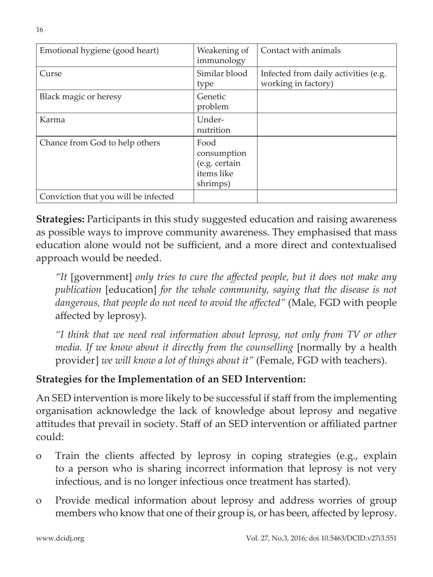| Emotional hygiene (good heart)       | Weakening of<br>immunology                                     | Contact with animals                                        |
|--------------------------------------|----------------------------------------------------------------|-------------------------------------------------------------|
| Curse                                | Similar blood<br>type                                          | Infected from daily activities (e.g.<br>working in factory) |
| Black magic or heresy                | Genetic<br>problem                                             |                                                             |
| Karma                                | Under-<br>nutrition                                            |                                                             |
| Chance from God to help others       | Food<br>consumption<br>(e.g. certain<br>items like<br>shrimps) |                                                             |
| Conviction that you will be infected |                                                                |                                                             |

**Strategies:** Participants in this study suggested education and raising awareness as possible ways to improve community awareness. They emphasised that mass education alone would not be sufficient, and a more direct and contextualised approach would be needed.

*"It* [government] *only tries to cure the affected people, but it does not make any publication* [education] *for the whole community, saying that the disease is not dangerous, that people do not need to avoid the affected"* (Male, FGD with people affected by leprosy).

*"I think that we need real information about leprosy, not only from TV or other media. If we know about it directly from the counselling* [normally by a health provider] *we will know a lot of things about it"* (Female, FGD with teachers).

### **Strategies for the Implementation of an SED Intervention:**

An SED intervention is more likely to be successful if staff from the implementing organisation acknowledge the lack of knowledge about leprosy and negative attitudes that prevail in society. Staff of an SED intervention or affiliated partner could:

- o Train the clients affected by leprosy in coping strategies (e.g., explain to a person who is sharing incorrect information that leprosy is not very infectious, and is no longer infectious once treatment has started).
- o Provide medical information about leprosy and address worries of group members who know that one of their group is, or has been, affected by leprosy.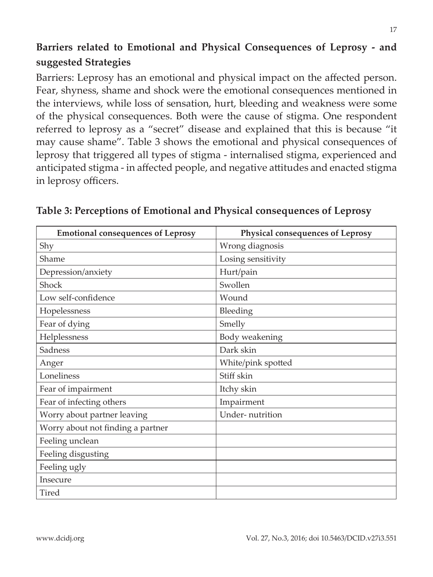## **Barriers related to Emotional and Physical Consequences of Leprosy - and suggested Strategies**

Barriers: Leprosy has an emotional and physical impact on the affected person. Fear, shyness, shame and shock were the emotional consequences mentioned in the interviews, while loss of sensation, hurt, bleeding and weakness were some of the physical consequences. Both were the cause of stigma. One respondent referred to leprosy as a "secret" disease and explained that this is because "it may cause shame". Table 3 shows the emotional and physical consequences of leprosy that triggered all types of stigma - internalised stigma, experienced and anticipated stigma - in affected people, and negative attitudes and enacted stigma in leprosy officers.

| <b>Emotional consequences of Leprosy</b> | Physical consequences of Leprosy |
|------------------------------------------|----------------------------------|
| Shy                                      | Wrong diagnosis                  |
| Shame                                    | Losing sensitivity               |
| Depression/anxiety                       | Hurt/pain                        |
| Shock                                    | Swollen                          |
| Low self-confidence                      | Wound                            |
| Hopelessness                             | Bleeding                         |
| Fear of dying                            | Smelly                           |
| Helplessness                             | Body weakening                   |
| Sadness                                  | Dark skin                        |
| Anger                                    | White/pink spotted               |
| Loneliness                               | Stiff skin                       |
| Fear of impairment                       | Itchy skin                       |
| Fear of infecting others                 | Impairment                       |
| Worry about partner leaving              | Under-nutrition                  |
| Worry about not finding a partner        |                                  |
| Feeling unclean                          |                                  |
| Feeling disgusting                       |                                  |
| Feeling ugly                             |                                  |
| Insecure                                 |                                  |
| <b>Tired</b>                             |                                  |

#### **Table 3: Perceptions of Emotional and Physical consequences of Leprosy**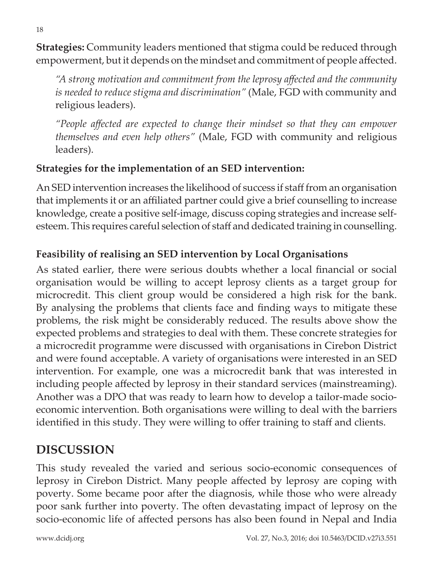**Strategies:** Community leaders mentioned that stigma could be reduced through empowerment, but it depends on the mindset and commitment of people affected.

*"A strong motivation and commitment from the leprosy affected and the community is needed to reduce stigma and discrimination"* (Male, FGD with community and religious leaders).

*"People affected are expected to change their mindset so that they can empower themselves and even help others"* (Male, FGD with community and religious leaders).

#### **Strategies for the implementation of an SED intervention:**

An SED intervention increases the likelihood of success if staff from an organisation that implements it or an affiliated partner could give a brief counselling to increase knowledge, create a positive self-image, discuss coping strategies and increase selfesteem. This requires careful selection of staff and dedicated training in counselling.

### **Feasibility of realising an SED intervention by Local Organisations**

As stated earlier, there were serious doubts whether a local financial or social organisation would be willing to accept leprosy clients as a target group for microcredit. This client group would be considered a high risk for the bank. By analysing the problems that clients face and finding ways to mitigate these problems, the risk might be considerably reduced. The results above show the expected problems and strategies to deal with them. These concrete strategies for a microcredit programme were discussed with organisations in Cirebon District and were found acceptable. A variety of organisations were interested in an SED intervention. For example, one was a microcredit bank that was interested in including people affected by leprosy in their standard services (mainstreaming). Another was a DPO that was ready to learn how to develop a tailor-made socioeconomic intervention. Both organisations were willing to deal with the barriers identified in this study. They were willing to offer training to staff and clients.

## **DISCUSSION**

This study revealed the varied and serious socio-economic consequences of leprosy in Cirebon District. Many people affected by leprosy are coping with poverty. Some became poor after the diagnosis, while those who were already poor sank further into poverty. The often devastating impact of leprosy on the socio-economic life of affected persons has also been found in Nepal and India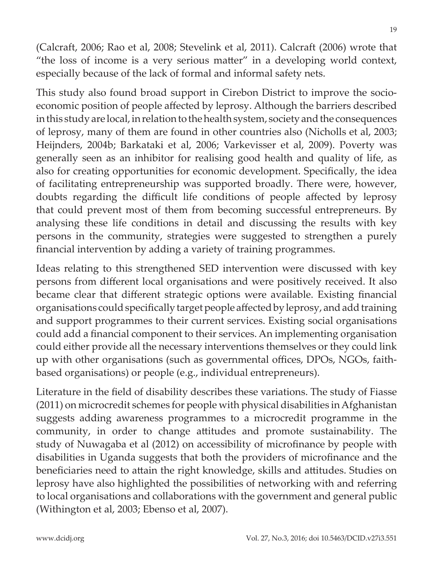(Calcraft, 2006; Rao et al, 2008; Stevelink et al, 2011). Calcraft (2006) wrote that "the loss of income is a very serious matter" in a developing world context, especially because of the lack of formal and informal safety nets.

This study also found broad support in Cirebon District to improve the socioeconomic position of people affected by leprosy. Although the barriers described in this study are local, in relation to the health system, society and the consequences of leprosy, many of them are found in other countries also (Nicholls et al, 2003; Heijnders, 2004b; Barkataki et al, 2006; Varkevisser et al, 2009). Poverty was generally seen as an inhibitor for realising good health and quality of life, as also for creating opportunities for economic development. Specifically, the idea of facilitating entrepreneurship was supported broadly. There were, however, doubts regarding the difficult life conditions of people affected by leprosy that could prevent most of them from becoming successful entrepreneurs. By analysing these life conditions in detail and discussing the results with key persons in the community, strategies were suggested to strengthen a purely financial intervention by adding a variety of training programmes.

Ideas relating to this strengthened SED intervention were discussed with key persons from different local organisations and were positively received. It also became clear that different strategic options were available. Existing financial organisations could specifically target people affected by leprosy, and add training and support programmes to their current services. Existing social organisations could add a financial component to their services. An implementing organisation could either provide all the necessary interventions themselves or they could link up with other organisations (such as governmental offices, DPOs, NGOs, faithbased organisations) or people (e.g., individual entrepreneurs).

Literature in the field of disability describes these variations. The study of Fiasse (2011) on microcredit schemes for people with physical disabilities in Afghanistan suggests adding awareness programmes to a microcredit programme in the community, in order to change attitudes and promote sustainability. The study of Nuwagaba et al (2012) on accessibility of microfinance by people with disabilities in Uganda suggests that both the providers of microfinance and the beneficiaries need to attain the right knowledge, skills and attitudes. Studies on leprosy have also highlighted the possibilities of networking with and referring to local organisations and collaborations with the government and general public (Withington et al, 2003; Ebenso et al, 2007).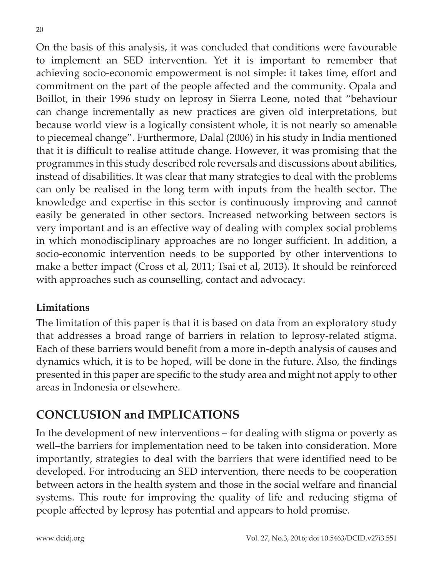On the basis of this analysis, it was concluded that conditions were favourable to implement an SED intervention. Yet it is important to remember that achieving socio-economic empowerment is not simple: it takes time, effort and commitment on the part of the people affected and the community. Opala and Boillot, in their 1996 study on leprosy in Sierra Leone, noted that "behaviour can change incrementally as new practices are given old interpretations, but because world view is a logically consistent whole, it is not nearly so amenable to piecemeal change". Furthermore, Dalal (2006) in his study in India mentioned that it is difficult to realise attitude change. However, it was promising that the programmes in this study described role reversals and discussions about abilities, instead of disabilities. It was clear that many strategies to deal with the problems can only be realised in the long term with inputs from the health sector. The knowledge and expertise in this sector is continuously improving and cannot easily be generated in other sectors. Increased networking between sectors is very important and is an effective way of dealing with complex social problems in which monodisciplinary approaches are no longer sufficient. In addition, a socio-economic intervention needs to be supported by other interventions to make a better impact (Cross et al, 2011; Tsai et al, 2013). It should be reinforced with approaches such as counselling, contact and advocacy.

#### **Limitations**

The limitation of this paper is that it is based on data from an exploratory study that addresses a broad range of barriers in relation to leprosy-related stigma. Each of these barriers would benefit from a more in-depth analysis of causes and dynamics which, it is to be hoped, will be done in the future. Also, the findings presented in this paper are specific to the study area and might not apply to other areas in Indonesia or elsewhere.

## **CONCLUSION and IMPLICATIONS**

In the development of new interventions – for dealing with stigma or poverty as well–the barriers for implementation need to be taken into consideration. More importantly, strategies to deal with the barriers that were identified need to be developed. For introducing an SED intervention, there needs to be cooperation between actors in the health system and those in the social welfare and financial systems. This route for improving the quality of life and reducing stigma of people affected by leprosy has potential and appears to hold promise.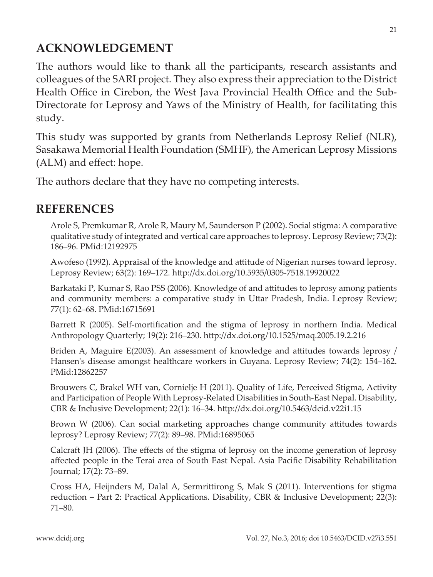## **ACKNOWLEDGEMENT**

The authors would like to thank all the participants, research assistants and colleagues of the SARI project. They also express their appreciation to the District Health Office in Cirebon, the West Java Provincial Health Office and the Sub-Directorate for Leprosy and Yaws of the Ministry of Health, for facilitating this study.

This study was supported by grants from Netherlands Leprosy Relief (NLR), Sasakawa Memorial Health Foundation (SMHF), the American Leprosy Missions (ALM) and effect: hope.

The authors declare that they have no competing interests.

### **REFERENCES**

Arole S, Premkumar R, Arole R, Maury M, Saunderson P (2002). Social stigma: A comparative qualitative study of integrated and vertical care approaches to leprosy. Leprosy Review; 73(2): 186–96. PMid:12192975

Awofeso (1992). Appraisal of the knowledge and attitude of Nigerian nurses toward leprosy. Leprosy Review; 63(2): 169–172. http://dx.doi.org/10.5935/0305-7518.19920022

Barkataki P, Kumar S, Rao PSS (2006). Knowledge of and attitudes to leprosy among patients and community members: a comparative study in Uttar Pradesh, India. Leprosy Review; 77(1): 62–68. PMid:16715691

Barrett R (2005). Self-mortification and the stigma of leprosy in northern India. Medical Anthropology Quarterly; 19(2): 216–230. http://dx.doi.org/10.1525/maq.2005.19.2.216

Briden A, Maguire E(2003). An assessment of knowledge and attitudes towards leprosy / Hansen's disease amongst healthcare workers in Guyana. Leprosy Review; 74(2): 154–162. PMid:12862257

Brouwers C, Brakel WH van, Cornielje H (2011). Quality of Life, Perceived Stigma, Activity and Participation of People With Leprosy-Related Disabilities in South-East Nepal. Disability, CBR & Inclusive Development; 22(1): 16–34. http://dx.doi.org/10.5463/dcid.v22i1.15

Brown W (2006). Can social marketing approaches change community attitudes towards leprosy? Leprosy Review; 77(2): 89–98. PMid:16895065

Calcraft JH (2006). The effects of the stigma of leprosy on the income generation of leprosy affected people in the Terai area of South East Nepal. Asia Pacific Disability Rehabilitation Journal; 17(2): 73–89.

Cross HA, Heijnders M, Dalal A, Sermrittirong S, Mak S (2011). Interventions for stigma reduction – Part 2: Practical Applications. Disability, CBR & Inclusive Development; 22(3): 71–80.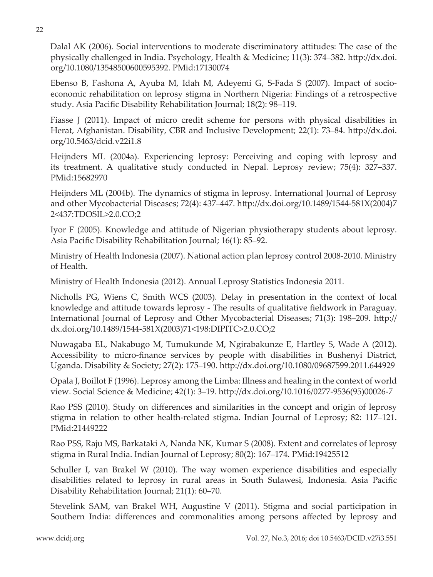Dalal AK (2006). Social interventions to moderate discriminatory attitudes: The case of the physically challenged in India. Psychology, Health & Medicine; 11(3): 374–382. http://dx.doi. org/10.1080/13548500600595392. PMid:17130074

Ebenso B, Fashona A, Ayuba M, Idah M, Adeyemi G, S-Fada S (2007). Impact of socioeconomic rehabilitation on leprosy stigma in Northern Nigeria: Findings of a retrospective study. Asia Pacific Disability Rehabilitation Journal; 18(2): 98–119.

Fiasse J (2011). Impact of micro credit scheme for persons with physical disabilities in Herat, Afghanistan. Disability, CBR and Inclusive Development; 22(1): 73–84. http://dx.doi. org/10.5463/dcid.v22i1.8

Heijnders ML (2004a). Experiencing leprosy: Perceiving and coping with leprosy and its treatment. A qualitative study conducted in Nepal. Leprosy review; 75(4): 327–337. PMid:15682970

Heijnders ML (2004b). The dynamics of stigma in leprosy. International Journal of Leprosy and other Mycobacterial Diseases; 72(4): 437–447. http://dx.doi.org/10.1489/1544-581X(2004)7 2<437:TDOSIL>2.0.CO;2

Iyor F (2005). Knowledge and attitude of Nigerian physiotherapy students about leprosy. Asia Pacific Disability Rehabilitation Journal; 16(1): 85–92.

Ministry of Health Indonesia (2007). National action plan leprosy control 2008-2010. Ministry of Health.

Ministry of Health Indonesia (2012). Annual Leprosy Statistics Indonesia 2011.

Nicholls PG, Wiens C, Smith WCS (2003). Delay in presentation in the context of local knowledge and attitude towards leprosy - The results of qualitative fieldwork in Paraguay. International Journal of Leprosy and Other Mycobacterial Diseases; 71(3): 198–209. http:// dx.doi.org/10.1489/1544-581X(2003)71<198:DIPITC>2.0.CO;2

Nuwagaba EL, Nakabugo M, Tumukunde M, Ngirabakunze E, Hartley S, Wade A (2012). Accessibility to micro-finance services by people with disabilities in Bushenyi District, Uganda. Disability & Society; 27(2): 175–190. http://dx.doi.org/10.1080/09687599.2011.644929

Opala J, Boillot F (1996). Leprosy among the Limba: Illness and healing in the context of world view. Social Science & Medicine; 42(1): 3–19. http://dx.doi.org/10.1016/0277-9536(95)00026-7

Rao PSS (2010). Study on differences and similarities in the concept and origin of leprosy stigma in relation to other health-related stigma. Indian Journal of Leprosy; 82: 117–121. PMid:21449222

Rao PSS, Raju MS, Barkataki A, Nanda NK, Kumar S (2008). Extent and correlates of leprosy stigma in Rural India. Indian Journal of Leprosy; 80(2): 167–174. PMid:19425512

Schuller I, van Brakel W (2010). The way women experience disabilities and especially disabilities related to leprosy in rural areas in South Sulawesi, Indonesia. Asia Pacific Disability Rehabilitation Journal; 21(1): 60–70.

Stevelink SAM, van Brakel WH, Augustine V (2011). Stigma and social participation in Southern India: differences and commonalities among persons affected by leprosy and